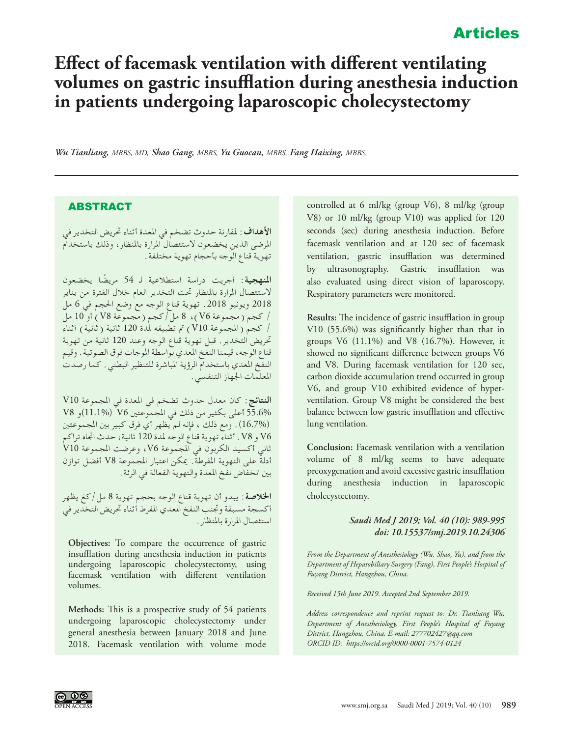## Articles

# **Effect of facemask ventilation with different ventilating volumes on gastric insufflation during anesthesia induction in patients undergoing laparoscopic cholecystectomy**

*Wu Tianliang, MBBS, MD, Shao Gang, MBBS, Yu Guocan, MBBS, Fang Haixing, MBBS.*

### ABSTRACT

**األهداف:** ملقارنة حدوث تضخم في املعدة أثناء حتريض التخدير في املرضى الذين يخضعون الستئصال املرارة باملنظار، وذلك باستخدام تهوية قناع الوجه بأحجام تهوية مختلفة.

**املنهجية:** أجريت دراسة استطالعية لـ 54 ً مريضا يخضعون الستئصال املرارة باملنظار حتت التخدير العام خالل الفترة من يناير 2018 ويونيو .2018 تهوية قناع الوجه مع وضع احلجم في 6 مل / كجم )مجموعة 6V)، 8 مل/كجم )مجموعة 8V )أو 10 مل / كجم (المجموعة V10 ) تم تطبيقه لمدة 120 ثانية ( ثانية ) أثناء حتريض التخدير. قبل تهوية قناع الوجه وعند 120 ثانية من تهوية قناع الوجه، قيمنا النفخ املعدي بواسطة املوجات فوق الصوتية. وقيم النفخ املعدي باستخدام الرؤية املباشرة للتنظير البطني. كما رصدت املعلمات اجلهاز التنفسي.

**النتائج:** كان معدل حدوث تضخم في املعدة في املجموعة 10V 55.6% أعلى بكثير من ذلك في املجموعتني 6V( 11.1%)و 8V )16.7%(. ومع ذلك ، فإنه لم يظهر أي فرق كبير بني املجموعتني 6V و 8V. أثناء تهوية قناع الوجه ملدة 120 ثانية، حدث اجتاه تراكم ثاني أكسيد الكربون في املجموعة 6V، وعرضت املجموعة 10V أدلة على التهوية املفرطة. ميكن اعتبار املجموعة 8V أفضل توازن بني انخفاض نفخ املعدة والتهوية الفعالة في الرئة.

**اخلالصة:** يبدو أن تهوية قناع الوجه بحجم تهوية 8 مل/كغ يظهر أكسجة مسبقة وجتنب النفخ املعدي املفرط أثناء حتريض التخدير في استئصال املرارة باملنظار.

**Objectives:** To compare the occurrence of gastric insufflation during anesthesia induction in patients undergoing laparoscopic cholecystectomy, using facemask ventilation with different ventilation volumes.

**Methods:** This is a prospective study of 54 patients undergoing laparoscopic cholecystectomy under general anesthesia between January 2018 and June 2018. Facemask ventilation with volume mode

controlled at 6 ml/kg (group V6), 8 ml/kg (group V8) or 10 ml/kg (group V10) was applied for 120 seconds (sec) during anesthesia induction. Before facemask ventilation and at 120 sec of facemask ventilation, gastric insufflation was determined by ultrasonography. Gastric insufflation was also evaluated using direct vision of laparoscopy. Respiratory parameters were monitored.

**Results:** The incidence of gastric insufflation in group V10 (55.6%) was significantly higher than that in groups V6 (11.1%) and V8 (16.7%). However, it showed no significant difference between groups V6 and V8. During facemask ventilation for 120 sec, carbon dioxide accumulation trend occurred in group V6, and group V10 exhibited evidence of hyperventilation. Group V8 might be considered the best balance between low gastric insufflation and effective lung ventilation.

**Conclusion:** Facemask ventilation with a ventilation volume of 8 ml/kg seems to have adequate preoxygenation and avoid excessive gastric insufflation during anesthesia induction in laparoscopic cholecystectomy.

#### *Saudi Med J 2019; Vol. 40 (10): 989-995 doi: 10.15537/smj.2019.10.24306*

*From the Department of Anesthesiology (Wu, Shao, Yu), and from the Department of Hepatobiliary Surgery (Fang), First People's Hospital of Fuyang District, Hangzhou, China.*

*Received 15th June 2019. Accepted 2nd September 2019.*

*Address correspondence and reprint request to: Dr. Tianliang Wu, Department of Anesthesiology, First People's Hospital of Fuyang District, Hangzhou, China. E-mail: 277702427@qq.com ORCID ID: https://orcid.org/0000-0001-7574-0124*

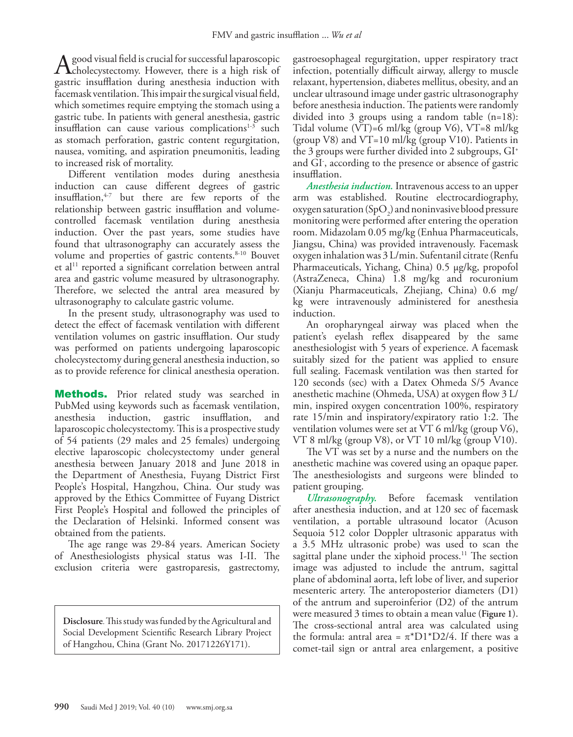A good visual field is crucial for successful laparoscopic<br>cholecystectomy. However, there is a high risk of gastric insufflation during anesthesia induction with facemask ventilation. This impair the surgical visual field, which sometimes require emptying the stomach using a gastric tube. In patients with general anesthesia, gastric insufflation can cause various complications<sup>[1-](#page-5-0)3</sup> such as stomach perforation, gastric content regurgitation, nausea, vomiting, and aspiration pneumonitis, leading to increased risk of mortality.

Different ventilation modes during anesthesia induction can cause different degrees of gastric insufflation, <sup>[4-](#page-5-2)[7](#page-5-3)</sup> but there are few reports of the relationship between gastric insufflation and volumecontrolled facemask ventilation during anesthesia induction. Over the past years, some studies have found that ultrasonography can accurately assess the volume and properties of gastric contents.<sup>8-10</sup> Bouvet et al<sup>[11](#page-6-0)</sup> reported a significant correlation between antral area and gastric volume measured by ultrasonography. Therefore, we selected the antral area measured by ultrasonography to calculate gastric volume.

In the present study, ultrasonography was used to detect the effect of facemask ventilation with different ventilation volumes on gastric insufflation. Our study was performed on patients undergoing laparoscopic cholecystectomy during general anesthesia induction, so as to provide reference for clinical anesthesia operation.

**Methods.** Prior related study was searched in PubMed using keywords such as facemask ventilation, anesthesia induction, gastric insufflation, and laparoscopic cholecystectomy. This is a prospective study of 54 patients (29 males and 25 females) undergoing elective laparoscopic cholecystectomy under general anesthesia between January 2018 and June 2018 in the Department of Anesthesia, Fuyang District First People's Hospital, Hangzhou, China. Our study was approved by the Ethics Committee of Fuyang District First People's Hospital and followed the principles of the Declaration of Helsinki. Informed consent was obtained from the patients.

The age range was 29-84 years. American Society of Anesthesiologists physical status was I-II. The exclusion criteria were gastroparesis, gastrectomy,

**Disclosure**. This study was funded by the Agricultural and Social Development Scientific Research Library Project of Hangzhou, China (Grant No. 20171226Y171).

gastroesophageal regurgitation, upper respiratory tract infection, potentially difficult airway, allergy to muscle relaxant, hypertension, diabetes mellitus, obesity, and an unclear ultrasound image under gastric ultrasonography before anesthesia induction. The patients were randomly divided into 3 groups using a random table (n=18): Tidal volume (VT)=6 ml/kg (group V6), VT=8 ml/kg (group V8) and VT=10 ml/kg (group V10). Patients in the 3 groups were further divided into 2 subgroups, GI+ and GI- , according to the presence or absence of gastric insufflation.

*Anesthesia induction.* Intravenous access to an upper arm was established. Routine electrocardiography, oxygen saturation (SpO<sub>2</sub>) and noninvasive blood pressure monitoring were performed after entering the operation room. Midazolam 0.05 mg/kg (Enhua Pharmaceuticals, Jiangsu, China) was provided intravenously. Facemask oxygen inhalation was 3 L/min. Sufentanil citrate (Renfu Pharmaceuticals, Yichang, China) 0.5 μg/kg, propofol (AstraZeneca, China) 1.8 mg/kg and rocuronium (Xianju Pharmaceuticals, Zhejiang, China) 0.6 mg/ kg were intravenously administered for anesthesia induction.

An oropharyngeal airway was placed when the patient's eyelash reflex disappeared by the same anesthesiologist with 5 years of experience. A facemask suitably sized for the patient was applied to ensure full sealing. Facemask ventilation was then started for 120 seconds (sec) with a Datex Ohmeda S/5 Avance anesthetic machine (Ohmeda, USA) at oxygen flow 3 L/ min, inspired oxygen concentration 100%, respiratory rate 15/min and inspiratory/expiratory ratio 1:2. The ventilation volumes were set at VT 6 ml/kg (group V6), VT 8 ml/kg (group V8), or VT 10 ml/kg (group V10).

The VT was set by a nurse and the numbers on the anesthetic machine was covered using an opaque paper. The anesthesiologists and surgeons were blinded to patient grouping.

*Ultrasonography.* Before facemask ventilation after anesthesia induction, and at 120 sec of facemask ventilation, a portable ultrasound locator (Acuson Sequoia 512 color Doppler ultrasonic apparatus with a 3.5 MHz ultrasonic probe) was used to scan the sagittal plane under the xiphoid process.<sup>11</sup> The section image was adjusted to include the antrum, sagittal plane of abdominal aorta, left lobe of liver, and superior mesenteric artery. The anteroposterior diameters (D1) of the antrum and superoinferior (D2) of the antrum were measured 3 times to obtain a mean value (**Figure 1**). The cross-sectional antral area was calculated using the formula: antral area =  $\pi^*D1^*D2/4$ . If there was a comet-tail sign or antral area enlargement, a positive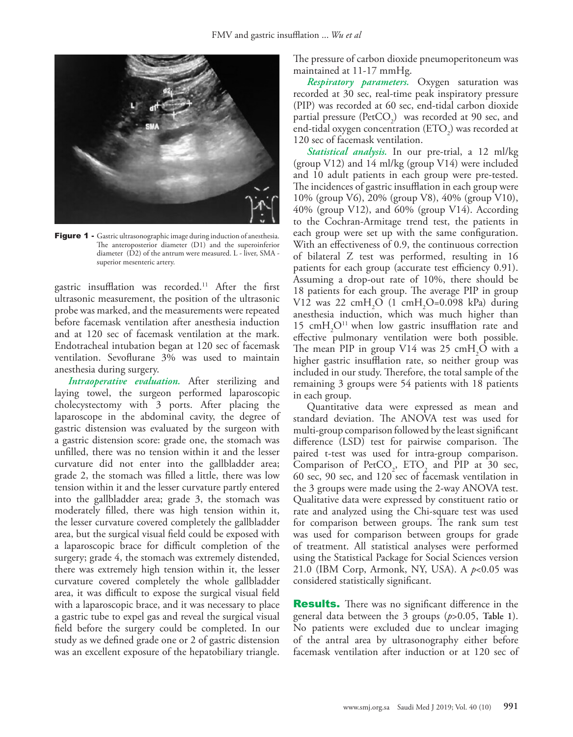

Figure 1 - Gastric ultrasonographic image during induction of anesthesia. The anteroposterior diameter (D1) and the superoinferior diameter (D2) of the antrum were measured. L - liver, SMA superior mesenteric artery.

gastric insufflation was recorded.11 After the first ultrasonic measurement, the position of the ultrasonic probe was marked, and the measurements were repeated before facemask ventilation after anesthesia induction and at 120 sec of facemask ventilation at the mark. Endotracheal intubation began at 120 sec of facemask ventilation. Sevoflurane 3% was used to maintain anesthesia during surgery.

*Intraoperative evaluation.* After sterilizing and laying towel, the surgeon performed laparoscopic cholecystectomy with 3 ports. After placing the laparoscope in the abdominal cavity, the degree of gastric distension was evaluated by the surgeon with a gastric distension score: grade one, the stomach was unfilled, there was no tension within it and the lesser curvature did not enter into the gallbladder area; grade 2, the stomach was filled a little, there was low tension within it and the lesser curvature partly entered into the gallbladder area; grade 3, the stomach was moderately filled, there was high tension within it, the lesser curvature covered completely the gallbladder area, but the surgical visual field could be exposed with a laparoscopic brace for difficult completion of the surgery; grade 4, the stomach was extremely distended, there was extremely high tension within it, the lesser curvature covered completely the whole gallbladder area, it was difficult to expose the surgical visual field with a laparoscopic brace, and it was necessary to place a gastric tube to expel gas and reveal the surgical visual field before the surgery could be completed. In our study as we defined grade one or 2 of gastric distension was an excellent exposure of the hepatobiliary triangle.

The pressure of carbon dioxide pneumoperitoneum was maintained at 11-17 mmHg.

*Respiratory parameters.* Oxygen saturation was recorded at 30 sec, real-time peak inspiratory pressure (PIP) was recorded at 60 sec, end-tidal carbon dioxide partial pressure ( $PetCO<sub>2</sub>$ ) was recorded at 90 sec, and end-tidal oxygen concentration  $(ETO<sub>2</sub>)$  was recorded at 120 sec of facemask ventilation.

*Statistical analysis.* In our pre-trial, a 12 ml/kg (group V12) and 14 ml/kg (group V14) were included and 10 adult patients in each group were pre-tested. The incidences of gastric insufflation in each group were 10% (group V6), 20% (group V8), 40% (group V10), 40% (group V12), and 60% (group V14). According to the Cochran-Armitage trend test, the patients in each group were set up with the same configuration. With an effectiveness of 0.9, the continuous correction of bilateral Z test was performed, resulting in 16 patients for each group (accurate test efficiency 0.91). Assuming a drop-out rate of 10%, there should be 18 patients for each group. The average PIP in group V12 was  $22 \text{ cm} + 2\text{ O}$  (1 cm  $\text{H}_2\text{O} = 0.098$  kPa) during anesthesia induction, which was much higher than  $15 \text{ cm} + 12\text{ O}$ <sup>11</sup> when low gastric insufflation rate and effective pulmonary ventilation were both possible. The mean PIP in group V14 was  $25 \text{ cm} + 0.25 \text{ cm}$ higher gastric insufflation rate, so neither group was included in our study. Therefore, the total sample of the remaining 3 groups were 54 patients with 18 patients in each group.

Quantitative data were expressed as mean and standard deviation. The ANOVA test was used for multi-group comparison followed by the least significant difference (LSD) test for pairwise comparison. The paired t-test was used for intra-group comparison. Comparison of PetCO<sub>2</sub>, ETO<sub>2</sub> and PIP at 30 sec, 60 sec, 90 sec, and 120 sec of facemask ventilation in the 3 groups were made using the 2-way ANOVA test. Qualitative data were expressed by constituent ratio or rate and analyzed using the Chi-square test was used for comparison between groups. The rank sum test was used for comparison between groups for grade of treatment. All statistical analyses were performed using the Statistical Package for Social Sciences version 21.0 (IBM Corp, Armonk, NY, USA). A *p*<0.05 was considered statistically significant.

**Results.** There was no significant difference in the general data between the 3 groups (*p*>0.05, **Table 1**). No patients were excluded due to unclear imaging of the antral area by ultrasonography either before facemask ventilation after induction or at 120 sec of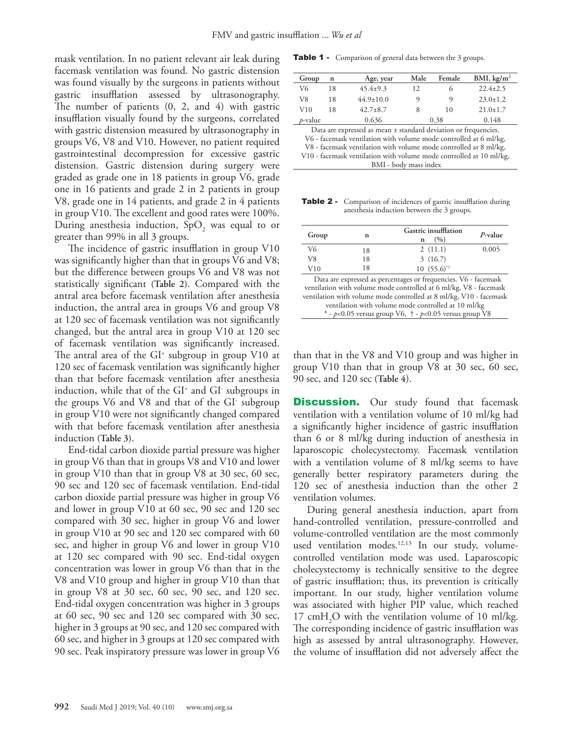mask ventilation. In no patient relevant air leak during facemask ventilation was found. No gastric distension was found visually by the surgeons in patients without gastric insufflation assessed by ultrasonography. The number of patients (0, 2, and 4) with gastric insufflation visually found by the surgeons, correlated with gastric distension measured by ultrasonography in groups V6, V8 and V10. However, no patient required gastrointestinal decompression for excessive gastric distension. Gastric distension during surgery were graded as grade one in 18 patients in group V6, grade one in 16 patients and grade 2 in 2 patients in group V8, grade one in 14 patients, and grade 2 in 4 patients in group V10. The excellent and good rates were 100%. During anesthesia induction,  $SpO<sub>2</sub>$  was equal to or greater than 99% in all 3 groups.

The incidence of gastric insufflation in group V10 was significantly higher than that in groups V6 and V8; but the difference between groups V6 and V8 was not statistically significant **(Table 2)**. Compared with the antral area before facemask ventilation after anesthesia induction, the antral area in groups V6 and group V8 at 120 sec of facemask ventilation was not significantly changed, but the antral area in group V10 at 120 sec of facemask ventilation was significantly increased. The antral area of the  $GI^*$  subgroup in group  $V10$  at 120 sec of facemask ventilation was significantly higher than that before facemask ventilation after anesthesia induction, while that of the GI+ and GI- subgroups in the groups V6 and V8 and that of the GI- subgroup in group V10 were not significantly changed compared with that before facemask ventilation after anesthesia induction **(Table 3)**.

End-tidal carbon dioxide partial pressure was higher in group V6 than that in groups V8 and V10 and lower in group V10 than that in group V8 at 30 sec, 60 sec, 90 sec and 120 sec of facemask ventilation. End-tidal carbon dioxide partial pressure was higher in group V6 and lower in group V10 at 60 sec, 90 sec and 120 sec compared with 30 sec, higher in group V6 and lower in group V10 at 90 sec and 120 sec compared with 60 sec, and higher in group V6 and lower in group V10 at 120 sec compared with 90 sec. End-tidal oxygen concentration was lower in group V6 than that in the V8 and V10 group and higher in group V10 than that in group V8 at 30 sec, 60 sec, 90 sec, and 120 sec. End-tidal oxygen concentration was higher in 3 groups at 60 sec, 90 sec and 120 sec compared with 30 sec, higher in 3 groups at 90 sec, and 120 sec compared with 60 sec, and higher in 3 groups at 120 sec compared with 90 sec. Peak inspiratory pressure was lower in group V6

Table 1 - Comparison of general data between the 3 groups.

| Group                                                           | n  | Age, year       | Male | Female | BMI, $\text{kg/m}^2$ |
|-----------------------------------------------------------------|----|-----------------|------|--------|----------------------|
| V6                                                              | 18 | $45.4 \pm 9.3$  | 12   | 6      | $22.4 \pm 2.5$       |
| V8                                                              | 18 | $44.9 \pm 10.0$ | 9    | 9      | $23.0 \pm 1.2$       |
| V10                                                             | 18 | $42.7 + 8.7$    |      | 10     | $21.0 \pm 1.7$       |
| $p$ -value                                                      |    | 0.636           |      | 0.38   | 0.148                |
| Data are expressed as mean ± standard deviation or frequencies. |    |                 |      |        |                      |

V6 - facemask ventilation with volume mode controlled at 6 ml/kg, V8 - facemask ventilation with volume mode controlled at 8 ml/kg, V10 - facemask ventilation with volume mode controlled at 10 ml/kg,

BMI - body mass index

Table 2 - Comparison of incidences of gastric insufflation during anesthesia induction between the 3 groups.

| Group                                                         | n  | <b>Gastric insufflation</b><br>(9/0)<br>n | P-value |  |
|---------------------------------------------------------------|----|-------------------------------------------|---------|--|
| V6                                                            | 18 | 2(11.1)                                   | 0.005   |  |
| V8                                                            | 18 | 3(16.7)                                   |         |  |
| V10                                                           | 18 | $10(55.6)^{*}$                            |         |  |
| Data are expressed as perceptages or frequencies V6 facements |    |                                           |         |  |

Data are expressed as percentages or frequencies. ventilation with volume mode controlled at 6 ml/kg, V8 - facemask ventilation with volume mode controlled at 8 ml/kg, V10 - facemask ventilation with volume mode controlled at 10 ml/kg \* - *p*<0.05 versus group V6, † - *p*<0.05 versus group V8

than that in the V8 and V10 group and was higher in group V10 than that in group V8 at 30 sec, 60 sec, 90 sec, and 120 sec **(Table 4**).

**Discussion.** Our study found that facemask ventilation with a ventilation volume of 10 ml/kg had a significantly higher incidence of gastric insufflation than 6 or 8 ml/kg during induction of anesthesia in laparoscopic cholecystectomy. Facemask ventilation with a ventilation volume of 8 ml/kg seems to have generally better respiratory parameters during the 120 sec of anesthesia induction than the other 2 ventilation volumes.

During general anesthesia induction, apart from hand-controlled ventilation, pressure-controlled and volume-controlled ventilation are the most commonly used ventilation modes.<sup>12,13</sup> In our study, volumecontrolled ventilation mode was used. Laparoscopic cholecystectomy is technically sensitive to the degree of gastric insufflation; thus, its prevention is critically important. In our study, higher ventilation volume was associated with higher PIP value, which reached  $17 \text{ cm} + 12 \text{ cm}$  with the ventilation volume of 10 ml/kg. The corresponding incidence of gastric insufflation was high as assessed by antral ultrasonography. However, the volume of insufflation did not adversely affect the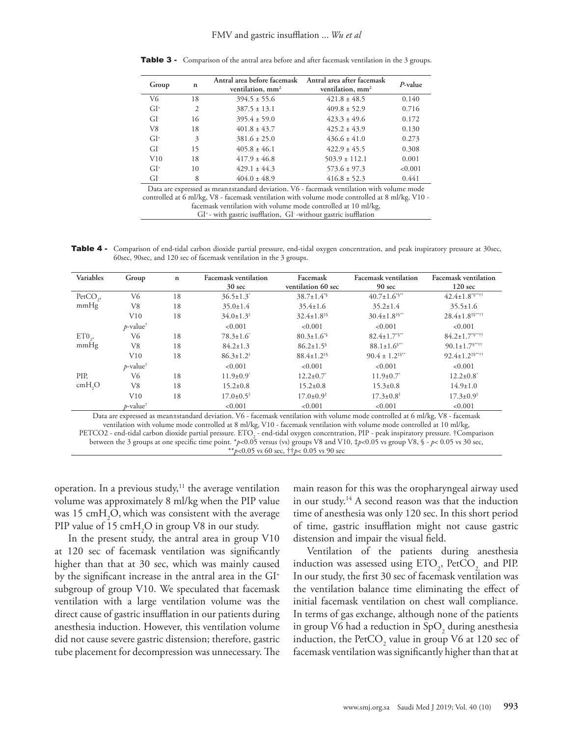| Group  | n  | Antral area before facemask<br>ventilation, mm <sup>2</sup> | Antral area after facemask<br>ventilation, mm <sup>2</sup> | P-value |
|--------|----|-------------------------------------------------------------|------------------------------------------------------------|---------|
| V6     | 18 | $394.5 \pm 55.6$                                            | $421.8 \pm 48.5$                                           | 0.140   |
| $GI+$  | 2  | $387.5 \pm 13.1$                                            | $409.8 \pm 52.9$                                           | 0.716   |
| $GI-$  | 16 | $395.4 \pm 59.0$                                            | $423.3 \pm 49.6$                                           | 0.172   |
| V8     | 18 | $401.8 \pm 43.7$                                            | $425.2 \pm 43.9$                                           | 0.130   |
| $GI+$  | 3  | $381.6 \pm 25.0$                                            | $436.6 \pm 41.0$                                           | 0.273   |
| $GI-$  | 15 | $405.8 \pm 46.1$                                            | $422.9 \pm 45.5$                                           | 0.308   |
| V10    | 18 | $417.9 \pm 46.8$                                            | $503.9 \pm 112.1$                                          | 0.001   |
| $GI^*$ | 10 | $429.1 \pm 44.3$                                            | $573.6 \pm 97.3$                                           | < 0.001 |
| $GI-$  | 8  | $404.0 \pm 48.9$                                            | $416.8 \pm 52.3$                                           | 0.441   |
|        |    |                                                             |                                                            |         |

**Table 3** - Comparison of the antral area before and after facemask ventilation in the 3 groups.

Data are expressed as mean±standard deviation. V6 - facemask ventilation with volume mode controlled at 6 ml/kg, V8 - facemask ventilation with volume mode controlled at 8 ml/kg, V10 facemask ventilation with volume mode controlled at 10 ml/kg, GI+ - with gastric isufflation, GI- -without gastric isufflation

Table 4 - Comparison of end-tidal carbon dioxide partial pressure, end-tidal oxygen concentration, and peak inspiratory pressure at 30sec, 60sec, 90sec, and 120 sec of facemask ventilation in the 3 groups.

| Variables          | Group                   | $\mathbf n$ | <b>Facemask ventilation</b><br>$30 \text{ sec}$ | Facemask<br>ventilation 60 sec | <b>Facemask ventilation</b><br>$90 \text{ sec}$                          | <b>Facemask ventilation</b><br>$120 \text{ sec}$ |
|--------------------|-------------------------|-------------|-------------------------------------------------|--------------------------------|--------------------------------------------------------------------------|--------------------------------------------------|
| $PetCO2$ ,         | V6                      | 18          | $36.5 \pm 1.3$ <sup>*</sup>                     | $38.7 \pm 1.4$ <sup>*</sup>    | $40.7 \pm 1.6$ <sup>***</sup>                                            | $42.4 \pm 1.8$ *****                             |
| mmHg               | V8                      | 18          | $35.0 \pm 1.4$                                  | $35.4 \pm 1.6$                 | $35.2 \pm 1.4$                                                           | $35.5 \pm 1.6$                                   |
|                    | V10                     | 18          | $34.0 \pm 1.3^{\ddagger}$                       | $32.4 \pm 1.8^{16}$            | $30.4 \pm 1.8$ <sup>‡§**</sup>                                           | $28.4 \pm 1.8$ <sup>‡§**††</sup>                 |
|                    | $p$ -value <sup>†</sup> |             | < 0.001                                         | < 0.001                        | < 0.001                                                                  | < 0.001                                          |
| ET0,               | V6                      | 18          | $78.3 \pm 1.6$                                  | $80.3 \pm 1.6$ <sup>\$</sup>   | $82.4 \pm 1.7$ <sup>***</sup>                                            | $84.2 \pm 1.7$ <sup>*\$**††</sup>                |
| mmHg               | V8                      | 18          | $84.2 \pm 1.3$                                  | $86.2 \pm 1.5$                 | $88.1 \pm 1.6$ <sup>§**</sup>                                            | $90.1 \pm 1.7$ <sup>\$**††</sup>                 |
|                    | V10                     | 18          | $86.3 \pm 1.2^{\ddagger}$                       | $88.4 \pm 1.2^{16}$            | $90.4 \pm 1.2^{\text{+}5**}$                                             | $92.4 \pm 1.2$ <sup>*****</sup>                  |
|                    | $p$ -value <sup>†</sup> |             | < 0.001                                         | < 0.001                        | < 0.001                                                                  | < 0.001                                          |
| PIP.               | V6                      | 18          | $11.9 \pm 0.9$ <sup>*</sup>                     | $12.2 \pm 0.7$ <sup>*</sup>    | $11.9 \pm 0.7$                                                           | $12.2 \pm 0.8$ <sup>*</sup>                      |
| cmH <sub>3</sub> O | V8                      | 18          | $15.2 \pm 0.8$                                  | $15.2 \pm 0.8$                 | $15.3 \pm 0.8$                                                           | $14.9 \pm 1.0$                                   |
|                    | V10                     | 18          | $17.0 \pm 0.5^{\ddagger}$                       | $17.0 \pm 0.9^{\ddagger}$      | $17.3 \pm 0.8^{\ddagger}$                                                | $17.3 \pm 0.9^{\ddagger}$                        |
|                    | $p$ -value <sup>†</sup> |             | < 0.001                                         | < 0.001                        | < 0.001                                                                  | < 0.001                                          |
|                    |                         |             |                                                 |                                | $\mathbf{u}$ , $\mathbf{u}$ , $\mathbf{u}$ , $\mathbf{v}$ , $\mathbf{v}$ |                                                  |

Data are expressed as mean±standard deviation. V6 - facemask ventilation with volume mode controlled at 6 ml/kg, V8 - facemask ventilation with volume mode controlled at 8 ml/kg, V10 - facemask ventilation with volume mode controlled at 10 ml/kg, <code>PETCO2</code> - end-tidal carbon dioxide partial pressure. ETO $_2$  - end-tidal oxygen concentration, <code>PIP</code> - peak inspiratory pressure. †Comparison between the 3 groups at one specific time point. \**p*<0.05 versus (vs) groups V8 and V10, ‡*p*<0.05 vs group V8, § - *p*< 0.05 vs 30 sec, \*\**p*<0.05 vs 60 sec, ††*p*< 0.05 vs 90 sec

operation. In a previous study, $11$  the average ventilation volume was approximately 8 ml/kg when the PIP value was 15  $\text{cmH}_{2}$ O, which was consistent with the average PIP value of 15  $\text{cmH}_2\text{O}$  in group V8 in our study.

In the present study, the antral area in group V10 at 120 sec of facemask ventilation was significantly higher than that at 30 sec, which was mainly caused by the significant increase in the antral area in the GI+ subgroup of group V10. We speculated that facemask ventilation with a large ventilation volume was the direct cause of gastric insufflation in our patients during anesthesia induction. However, this ventilation volume did not cause severe gastric distension; therefore, gastric tube placement for decompression was unnecessary. The main reason for this was the oropharyngeal airway used in our study.14 A second reason was that the induction time of anesthesia was only 120 sec. In this short period of time, gastric insufflation might not cause gastric distension and impair the visual field.

Ventilation of the patients during anesthesia induction was assessed using  $\text{ETO}_2$ ,  $\text{PetCO}_2$  and PIP. In our study, the first 30 sec of facemask ventilation was the ventilation balance time eliminating the effect of initial facemask ventilation on chest wall compliance. In terms of gas exchange, although none of the patients in group V6 had a reduction in  $\text{SpO}_2$  during anesthesia induction, the  $PetCO_2$  value in group V6 at 120 sec of facemask ventilation was significantly higher than that at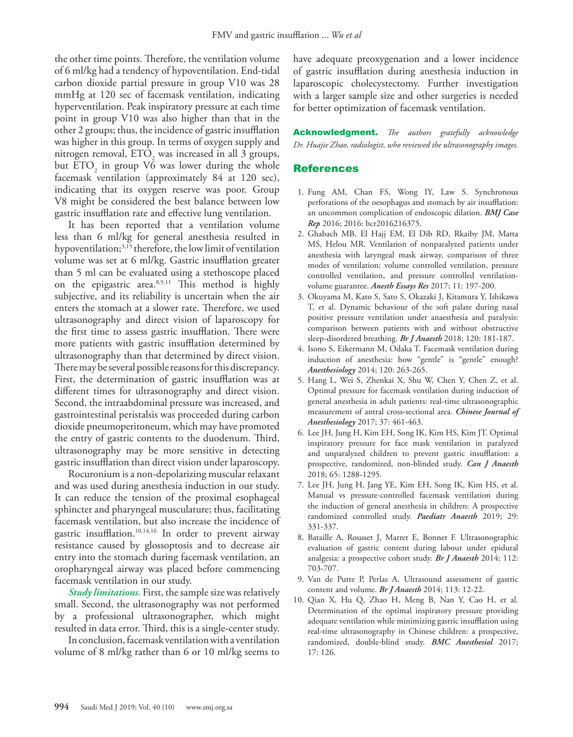the other time points. Therefore, the ventilation volume of 6 ml/kg had a tendency of hypoventilation. End-tidal carbon dioxide partial pressure in group V10 was 28 mmHg at 120 sec of facemask ventilation, indicating hyperventilation. Peak inspiratory pressure at each time point in group V10 was also higher than that in the other 2 groups; thus, the incidence of gastric insufflation was higher in this group. In terms of oxygen supply and nitrogen removal,  $ETO<sub>2</sub>$  was increased in all 3 groups, but  $ETO<sub>2</sub>$  in group V6 was lower during the whole facemask ventilation (approximately 84 at 120 sec), indicating that its oxygen reserve was poor. Group V8 might be considered the best balance between low gastric insufflation rate and effective lung ventilation.

It has been reported that a ventilation volume less than 6 ml/kg for general anesthesia resulted in hypoventilation;<sup>3,[15](#page-6-1)</sup> therefore, the low limit of ventilation volume was set at 6 ml/kg. Gastric insufflation greater than 5 ml can be evaluated using a stethoscope placed on the epigastric area.[8](#page-5-4),[9](#page-5-6),[11](#page-6-0) This method is highly subjective, and its reliability is uncertain when the air enters the stomach at a slower rate. Therefore, we used ultrasonography and direct vision of laparoscopy for the first time to assess gastric insufflation. There were more patients with gastric insufflation determined by ultrasonography than that determined by direct vision. There may be several possible reasons for this discrepancy. First, the determination of gastric insufflation was at different times for ultrasonography and direct vision. Second, the intraabdominal pressure was increased, and gastrointestinal peristalsis was proceeded during carbon dioxide pneumoperitoneum, which may have promoted the entry of gastric contents to the duodenum. Third, ultrasonography may be more sensitive in detecting gastric insufflation than direct vision under laparoscopy.

Rocuronium is a non-depolarizing muscular relaxant and was used during anesthesia induction in our study. It can reduce the tension of the proximal esophageal sphincter and pharyngeal musculature; thus, facilitating facemask ventilation, but also increase the incidence of gastric insufflation[.10](#page-5-5)[,14](#page-6-2)[,16](#page-6-3) In order to prevent airway resistance caused by glossoptosis and to decrease air entry into the stomach during facemask ventilation, an oropharyngeal airway was placed before commencing facemask ventilation in our study.

*Study limitations.* First, the sample size was relatively small. Second, the ultrasonography was not performed by a professional ultrasonographer, which might resulted in data error. Third, this is a single-center study.

In conclusion, facemask ventilation with a ventilation volume of 8 ml/kg rather than 6 or 10 ml/kg seems to have adequate preoxygenation and a lower incidence of gastric insufflation during anesthesia induction in laparoscopic cholecystectomy. Further investigation with a larger sample size and other surgeries is needed for better optimization of facemask ventilation.

Acknowledgment. *The authors gratefully acknowledge Dr. Huajie Zhao, radiologist, who reviewed the ultrasonography images.* 

#### References

- <span id="page-5-0"></span>1. [Fung AM, Chan FS, Wong IY, Law S. Synchronous](https://www.ncbi.nlm.nih.gov/pubmed/?term=Synchronous+perforations+of+the+oesophagus+and+stomach+by+air+insufflation%3A+an+uncommon+complication+of+endoscopic+dilation.)  [perforations of the oesophagus and stomach by air insufflation:](https://www.ncbi.nlm.nih.gov/pubmed/?term=Synchronous+perforations+of+the+oesophagus+and+stomach+by+air+insufflation%3A+an+uncommon+complication+of+endoscopic+dilation.)  [an uncommon complication of endoscopic dilation.](https://www.ncbi.nlm.nih.gov/pubmed/?term=Synchronous+perforations+of+the+oesophagus+and+stomach+by+air+insufflation%3A+an+uncommon+complication+of+endoscopic+dilation.) *BMJ Case Rep* [2016; 2016](https://www.ncbi.nlm.nih.gov/pubmed/?term=Synchronous+perforations+of+the+oesophagus+and+stomach+by+air+insufflation%3A+an+uncommon+complication+of+endoscopic+dilation.): bcr2016216375.
- 2. [Ghabach MB, El Hajj EM, El Dib RD, Rkaiby JM, Matta](https://www.ncbi.nlm.nih.gov/pubmed/?term=Ventilation+of+nonparalyzed+patients+under+anesthesia+with+laryngeal+mask+airway%2C+comparison+of+three+modes+of+ventilation%3A+volume+controlled+ventilation%2C+pressure+controlled+ventilation%2C+and+pressure+controlled+ventilation-volume+guarantee.)  [MS, Helou MR. Ventilation of nonparalyzed patients under](https://www.ncbi.nlm.nih.gov/pubmed/?term=Ventilation+of+nonparalyzed+patients+under+anesthesia+with+laryngeal+mask+airway%2C+comparison+of+three+modes+of+ventilation%3A+volume+controlled+ventilation%2C+pressure+controlled+ventilation%2C+and+pressure+controlled+ventilation-volume+guarantee.)  [anesthesia with laryngeal mask airway, comparison of three](https://www.ncbi.nlm.nih.gov/pubmed/?term=Ventilation+of+nonparalyzed+patients+under+anesthesia+with+laryngeal+mask+airway%2C+comparison+of+three+modes+of+ventilation%3A+volume+controlled+ventilation%2C+pressure+controlled+ventilation%2C+and+pressure+controlled+ventilation-volume+guarantee.)  [modes of ventilation: volume controlled ventilation, pressure](https://www.ncbi.nlm.nih.gov/pubmed/?term=Ventilation+of+nonparalyzed+patients+under+anesthesia+with+laryngeal+mask+airway%2C+comparison+of+three+modes+of+ventilation%3A+volume+controlled+ventilation%2C+pressure+controlled+ventilation%2C+and+pressure+controlled+ventilation-volume+guarantee.)  [controlled ventilation, and pressure controlled ventilation](https://www.ncbi.nlm.nih.gov/pubmed/?term=Ventilation+of+nonparalyzed+patients+under+anesthesia+with+laryngeal+mask+airway%2C+comparison+of+three+modes+of+ventilation%3A+volume+controlled+ventilation%2C+pressure+controlled+ventilation%2C+and+pressure+controlled+ventilation-volume+guarantee.)volume guarantee. *Anesth Essays Res* [2017; 11: 197-200.](https://www.ncbi.nlm.nih.gov/pubmed/?term=Ventilation+of+nonparalyzed+patients+under+anesthesia+with+laryngeal+mask+airway%2C+comparison+of+three+modes+of+ventilation%3A+volume+controlled+ventilation%2C+pressure+controlled+ventilation%2C+and+pressure+controlled+ventilation-volume+guarantee.)
- <span id="page-5-1"></span> 3. [Okuyama M, Kato S, Sato S, Okazaki J, Kitamura Y, Ishikawa](https://www.ncbi.nlm.nih.gov/pubmed/?term=Dynamic+behaviour+of+the+soft+palate+during+nasal+positive+pressure+ventilation+under+anaesthesia+and+paralysis%3A+comparison+between+patients+with+and+without+obstructive+sleep-disordered+breathing)  [T, et al. Dynamic behaviour of the soft palate during nasal](https://www.ncbi.nlm.nih.gov/pubmed/?term=Dynamic+behaviour+of+the+soft+palate+during+nasal+positive+pressure+ventilation+under+anaesthesia+and+paralysis%3A+comparison+between+patients+with+and+without+obstructive+sleep-disordered+breathing)  [positive pressure ventilation under anaesthesia and paralysis:](https://www.ncbi.nlm.nih.gov/pubmed/?term=Dynamic+behaviour+of+the+soft+palate+during+nasal+positive+pressure+ventilation+under+anaesthesia+and+paralysis%3A+comparison+between+patients+with+and+without+obstructive+sleep-disordered+breathing)  [comparison between patients with and without obstructive](https://www.ncbi.nlm.nih.gov/pubmed/?term=Dynamic+behaviour+of+the+soft+palate+during+nasal+positive+pressure+ventilation+under+anaesthesia+and+paralysis%3A+comparison+between+patients+with+and+without+obstructive+sleep-disordered+breathing)  [sleep-disordered breathing.](https://www.ncbi.nlm.nih.gov/pubmed/?term=Dynamic+behaviour+of+the+soft+palate+during+nasal+positive+pressure+ventilation+under+anaesthesia+and+paralysis%3A+comparison+between+patients+with+and+without+obstructive+sleep-disordered+breathing) *Br J Anaesth* 2018; 120: 181-187.
- <span id="page-5-2"></span> 4. [Isono S, Eikermann M, Odaka T. Facemask ventilation during](https://www.ncbi.nlm.nih.gov/pubmed/?term=Facemask+ventilation+during+induction+of+anesthesia%3A+how+%E2%80%9Cgentle%E2%80%9D+is+%E2%80%9Cgentle%E2%80%9D+enough%3F)  induction of anesthesia: how "gentle" is "gentle" enough? *Anesthesiology* [2014; 120: 263-265.](https://www.ncbi.nlm.nih.gov/pubmed/?term=Facemask+ventilation+during+induction+of+anesthesia%3A+how+%E2%80%9Cgentle%E2%80%9D+is+%E2%80%9Cgentle%E2%80%9D+enough%3F)
- 5. [Hang L, Wei S, Zhenkai X, Shu W, Chen Y, Chen Z, et al.](http://www.wanfangdata.com.cn/details/detailsI.do?_type=perio&id=zhmxzz98201704021 )  [Optimal pressure for facemask ventilation during induction of](http://www.wanfangdata.com.cn/details/detailsI.do?_type=perio&id=zhmxzz98201704021 )  [general anesthesia in adult patients: real-time ultrasonographic](http://www.wanfangdata.com.cn/details/detailsI.do?_type=perio&id=zhmxzz98201704021 )  [measurement of antral cross-sectional area.](http://www.wanfangdata.com.cn/details/detailsI.do?_type=perio&id=zhmxzz98201704021 ) *Chinese Journal of Anesthesiology* [2017; 37: 461-463.](http://www.wanfangdata.com.cn/details/detailsI.do?_type=perio&id=zhmxzz98201704021 )
- 6. [Lee JH, Jung H, Kim EH, Song IK, Kim HS, Kim JT. Optimal](https://www.ncbi.nlm.nih.gov/pubmed?term=optimal%20inspiratory%20pressure%20for%20face%20mask%20ventilation%20in%20paralyzed%20and%20paralyzed%20children%20to%20prevent%20gastric%20insufflation%20a%20prospective,%20randomized,%20non-blinded%20study&cmd=correctspelling)  [inspiratory pressure for face mask ventilation in paralyzed](https://www.ncbi.nlm.nih.gov/pubmed?term=optimal%20inspiratory%20pressure%20for%20face%20mask%20ventilation%20in%20paralyzed%20and%20paralyzed%20children%20to%20prevent%20gastric%20insufflation%20a%20prospective,%20randomized,%20non-blinded%20study&cmd=correctspelling)  [and unparalyzed children to prevent gastric insufflation: a](https://www.ncbi.nlm.nih.gov/pubmed?term=optimal%20inspiratory%20pressure%20for%20face%20mask%20ventilation%20in%20paralyzed%20and%20paralyzed%20children%20to%20prevent%20gastric%20insufflation%20a%20prospective,%20randomized,%20non-blinded%20study&cmd=correctspelling)  [prospective, randomized, non-blinded study.](https://www.ncbi.nlm.nih.gov/pubmed?term=optimal%20inspiratory%20pressure%20for%20face%20mask%20ventilation%20in%20paralyzed%20and%20paralyzed%20children%20to%20prevent%20gastric%20insufflation%20a%20prospective,%20randomized,%20non-blinded%20study&cmd=correctspelling) *Can J Anaesth*  [2018; 65: 1288-1295.](https://www.ncbi.nlm.nih.gov/pubmed?term=optimal%20inspiratory%20pressure%20for%20face%20mask%20ventilation%20in%20paralyzed%20and%20paralyzed%20children%20to%20prevent%20gastric%20insufflation%20a%20prospective,%20randomized,%20non-blinded%20study&cmd=correctspelling)
- <span id="page-5-3"></span> 7. [Lee JH, Jung H, Jang YE, Kim EH, Song IK, Kim HS, et al.](https://www.ncbi.nlm.nih.gov/pubmed/?term=Manual+vs+pressure-controlled+facemask+ventilation+during+the+induction+of+general+anesthesia+in+children%3A+A+prospective+randomized+controlled+study.)  [Manual vs pressure-controlled facemask ventilation during](https://www.ncbi.nlm.nih.gov/pubmed/?term=Manual+vs+pressure-controlled+facemask+ventilation+during+the+induction+of+general+anesthesia+in+children%3A+A+prospective+randomized+controlled+study.)  [the induction of general anesthesia in children: A prospective](https://www.ncbi.nlm.nih.gov/pubmed/?term=Manual+vs+pressure-controlled+facemask+ventilation+during+the+induction+of+general+anesthesia+in+children%3A+A+prospective+randomized+controlled+study.)  [randomized controlled study.](https://www.ncbi.nlm.nih.gov/pubmed/?term=Manual+vs+pressure-controlled+facemask+ventilation+during+the+induction+of+general+anesthesia+in+children%3A+A+prospective+randomized+controlled+study.) *Paediatr Anaesth* 2019; 29: [331-337.](https://www.ncbi.nlm.nih.gov/pubmed/?term=Manual+vs+pressure-controlled+facemask+ventilation+during+the+induction+of+general+anesthesia+in+children%3A+A+prospective+randomized+controlled+study.)
- <span id="page-5-4"></span> 8. [Bataille A, Rousset J, Marret E, Bonnet F. Ultrasonographic](https://www.ncbi.nlm.nih.gov/pubmed/?term=Ultrasonographic+evaluation+of+gastric+content+during+labour+under+epidural+analgesia%3A+a+prospective+cohort+study)  [evaluation of gastric content during labour under epidural](https://www.ncbi.nlm.nih.gov/pubmed/?term=Ultrasonographic+evaluation+of+gastric+content+during+labour+under+epidural+analgesia%3A+a+prospective+cohort+study)  [analgesia: a prospective cohort study.](https://www.ncbi.nlm.nih.gov/pubmed/?term=Ultrasonographic+evaluation+of+gastric+content+during+labour+under+epidural+analgesia%3A+a+prospective+cohort+study) *Br J Anaesth* 2014; 112: [703-707.](https://www.ncbi.nlm.nih.gov/pubmed/?term=Ultrasonographic+evaluation+of+gastric+content+during+labour+under+epidural+analgesia%3A+a+prospective+cohort+study)
- <span id="page-5-6"></span> 9. [Van de Putte P, Perlas A. Ultrasound assessment of gastric](https://www.ncbi.nlm.nih.gov/pubmed/?term=Van+de+Putte+P%2C+Perlas+A.+Ultrasound+assessment+of+gastric+content+and+volume.+Br+J+Anaesth+2014%3B+113%3A+12-22.)  [content and volume.](https://www.ncbi.nlm.nih.gov/pubmed/?term=Van+de+Putte+P%2C+Perlas+A.+Ultrasound+assessment+of+gastric+content+and+volume.+Br+J+Anaesth+2014%3B+113%3A+12-22.) *Br J Anaesth* 2014; 113: 12-22.
- <span id="page-5-5"></span>10. [Qian X, Hu Q, Zhao H, Meng B, Nan Y, Cao H, et al.](https://www.ncbi.nlm.nih.gov/pubmed/?term=Determination+of+the+optimal+inspiratory+pressure+providing+adequate+ventilation+while+minimizing+gastric+insufflation+using+real-time+ultrasonography+in+Chinese+children%3A+a+prospective%2C+randomized%2C+double-blind+study.+BMC+Anesthesiol+2017%3B+17%3A+126.)  [Determination of the optimal inspiratory pressure providing](https://www.ncbi.nlm.nih.gov/pubmed/?term=Determination+of+the+optimal+inspiratory+pressure+providing+adequate+ventilation+while+minimizing+gastric+insufflation+using+real-time+ultrasonography+in+Chinese+children%3A+a+prospective%2C+randomized%2C+double-blind+study.+BMC+Anesthesiol+2017%3B+17%3A+126.)  [adequate ventilation while minimizing gastric insufflation using](https://www.ncbi.nlm.nih.gov/pubmed/?term=Determination+of+the+optimal+inspiratory+pressure+providing+adequate+ventilation+while+minimizing+gastric+insufflation+using+real-time+ultrasonography+in+Chinese+children%3A+a+prospective%2C+randomized%2C+double-blind+study.+BMC+Anesthesiol+2017%3B+17%3A+126.)  [real-time ultrasonography in Chinese children: a prospective,](https://www.ncbi.nlm.nih.gov/pubmed/?term=Determination+of+the+optimal+inspiratory+pressure+providing+adequate+ventilation+while+minimizing+gastric+insufflation+using+real-time+ultrasonography+in+Chinese+children%3A+a+prospective%2C+randomized%2C+double-blind+study.+BMC+Anesthesiol+2017%3B+17%3A+126.)  [randomized, double-blind study.](https://www.ncbi.nlm.nih.gov/pubmed/?term=Determination+of+the+optimal+inspiratory+pressure+providing+adequate+ventilation+while+minimizing+gastric+insufflation+using+real-time+ultrasonography+in+Chinese+children%3A+a+prospective%2C+randomized%2C+double-blind+study.+BMC+Anesthesiol+2017%3B+17%3A+126.) *BMC Anesthesiol* 2017; [17: 126.](https://www.ncbi.nlm.nih.gov/pubmed/?term=Determination+of+the+optimal+inspiratory+pressure+providing+adequate+ventilation+while+minimizing+gastric+insufflation+using+real-time+ultrasonography+in+Chinese+children%3A+a+prospective%2C+randomized%2C+double-blind+study.+BMC+Anesthesiol+2017%3B+17%3A+126.)